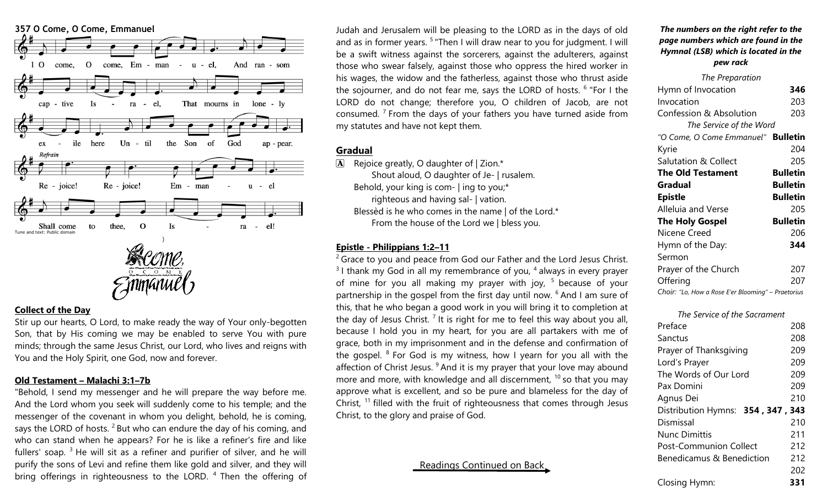

#### **Collect of the Day**

Stir up our hearts, O Lord, to make ready the way of Your only-begotten Son, that by His coming we may be enabled to serve You with pure minds; through the same Jesus Christ, our Lord, who lives and reigns with You and the Holy Spirit, one God, now and forever.

# **Old Testament – Malachi 3:1–7b**

"Behold, I send my messenger and he will prepare the way before me. And the Lord whom you seek will suddenly come to his temple; and the messenger of the covenant in whom you delight, behold, he is coming, says the LORD of hosts.  $2$  But who can endure the day of his coming, and who can stand when he appears? For he is like a refiner's fire and like fullers' soap.  $3$  He will sit as a refiner and purifier of silver, and he will purify the sons of Levi and refine them like gold and silver, and they will bring offerings in righteousness to the LORD.<sup>4</sup> Then the offering of Judah and Jerusalem will be pleasing to the LORD as in the days of old and as in former years.<sup>5</sup> "Then I will draw near to you for judgment. I will be a swift witness against the sorcerers, against the adulterers, against those who swear falsely, against those who oppress the hired worker in his wages, the widow and the fatherless, against those who thrust aside the sojourner, and do not fear me, says the LORD of hosts. <sup>6</sup> "For I the LORD do not change; therefore you, O children of Jacob, are not consumed.  $7$  From the days of your fathers you have turned aside from my statutes and have not kept them.

# **Gradual**

 $\mathbf{\overline{A}}$  Rejoice greatly, O daughter of | Zion.\* Shout aloud, O daughter of Je- | rusalem. Behold, your king is com- | ing to you;\* righteous and having sal- | vation. Blessèd is he who comes in the name | of the Lord.\* From the house of the Lord we | bless you.

# **Epistle - Philippians 1:2–11**

 $2$  Grace to you and peace from God our Father and the Lord Jesus Christ.  $31$  thank my God in all my remembrance of you,  $4$  always in every prayer of mine for you all making my prayer with joy,  $5$  because of your partnership in the gospel from the first day until now. <sup>6</sup> And I am sure of this, that he who began a good work in you will bring it to completion at the day of Jesus Christ.<sup>7</sup> It is right for me to feel this way about you all, because I hold you in my heart, for you are all partakers with me of grace, both in my imprisonment and in the defense and confirmation of the gospel.  $8$  For God is my witness, how I yearn for you all with the affection of Christ Jesus.  $9$  And it is my prayer that your love may abound more and more, with knowledge and all discernment,  $10$  so that you may approve what is excellent, and so be pure and blameless for the day of Christ,  $11$  filled with the fruit of righteousness that comes through Jesus Christ, to the glory and praise of God.

# Readings Continued on Back

#### *The numbers on the right refer to the page numbers which are found in the Hymnal (LSB) which is located in the pew rack*

| The Preparation                                    |                 |
|----------------------------------------------------|-----------------|
| Hymn of Invocation                                 | 346             |
| Invocation                                         | 203             |
| Confession & Absolution                            | 203             |
| The Service of the Word                            |                 |
| "O Come, O Come Emmanuel" <b>Bulletin</b>          |                 |
| Kyrie                                              | 204             |
| <b>Salutation &amp; Collect</b>                    | 205             |
| <b>The Old Testament</b>                           | <b>Bulletin</b> |
| Gradual                                            | Bulletin        |
| <b>Epistle</b>                                     | <b>Bulletin</b> |
| Alleluia and Verse                                 | 205             |
| <b>The Holy Gospel</b>                             | <b>Bulletin</b> |
| Nicene Creed                                       | 206             |
| Hymn of the Day:                                   | 344             |
| Sermon                                             |                 |
| Prayer of the Church                               | 207             |
| Offering                                           | 207             |
| Choir: "Lo, How a Rose E'er Blooming" - Praetorius |                 |

#### *The Service of the Sacrament*

| Preface                           | 208 |
|-----------------------------------|-----|
| Sanctus                           | 208 |
| Prayer of Thanksgiving            | 209 |
| Lord's Prayer                     | 209 |
| The Words of Our Lord             | 209 |
| Pax Domini                        | 209 |
| Agnus Dei                         | 210 |
| Distribution Hymns: 354, 347, 343 |     |
| Dismissal                         | 210 |
| <b>Nunc Dimittis</b>              |     |
|                                   | 211 |
| <b>Post-Communion Collect</b>     | 212 |
| Benedicamus & Benediction         | 212 |
|                                   | 202 |
| Closing Hymn:                     | 331 |